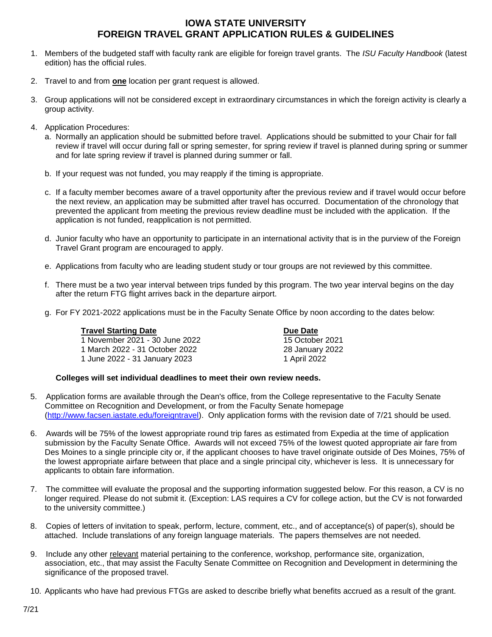## **IOWA STATE UNIVERSITY FOREIGN TRAVEL GRANT APPLICATION RULES & GUIDELINES**

- 1. Members of the budgeted staff with faculty rank are eligible for foreign travel grants. The *ISU Faculty Handbook* (latest edition) has the official rules.
- 2. Travel to and from **one** location per grant request is allowed.
- 3. Group applications will not be considered except in extraordinary circumstances in which the foreign activity is clearly a group activity.
- 4. Application Procedures:
	- a. Normally an application should be submitted before travel. Applications should be submitted to your Chair for fall review if travel will occur during fall or spring semester, for spring review if travel is planned during spring or summer and for late spring review if travel is planned during summer or fall.
	- b. If your request was not funded, you may reapply if the timing is appropriate.
	- c. If a faculty member becomes aware of a travel opportunity after the previous review and if travel would occur before the next review, an application may be submitted after travel has occurred. Documentation of the chronology that prevented the applicant from meeting the previous review deadline must be included with the application. If the application is not funded, reapplication is not permitted.
	- d. Junior faculty who have an opportunity to participate in an international activity that is in the purview of the Foreign Travel Grant program are encouraged to apply.
	- e. Applications from faculty who are leading student study or tour groups are not reviewed by this committee.
	- f. There must be a two year interval between trips funded by this program. The two year interval begins on the day after the return FTG flight arrives back in the departure airport.
	- g. For FY 2021-2022 applications must be in the Faculty Senate Office by noon according to the dates below:

| <b>Travel Starting Date</b>    | Due Date        |
|--------------------------------|-----------------|
| 1 November 2021 - 30 June 2022 | 15 October 2021 |
| 1 March 2022 - 31 October 2022 | 28 January 2022 |
| 1 June 2022 - 31 January 2023  | 1 April 2022    |

## **Colleges will set individual deadlines to meet their own review needs.**

- 5. Application forms are available through the Dean's office, from the College representative to the Faculty Senate Committee on Recognition and Development, or from the Faculty Senate homepage [\(http://www.facsen.iastate.edu/foreigntravel\)](http://www.facsen.iastate.edu/foreigntravel). Only application forms with the revision date of 7/21 should be used.
- 6. Awards will be 75% of the lowest appropriate round trip fares as estimated from Expedia at the time of application submission by the Faculty Senate Office. Awards will not exceed 75% of the lowest quoted appropriate air fare from Des Moines to a single principle city or, if the applicant chooses to have travel originate outside of Des Moines, 75% of the lowest appropriate airfare between that place and a single principal city, whichever is less. It is unnecessary for applicants to obtain fare information.
- 7. The committee will evaluate the proposal and the supporting information suggested below. For this reason, a CV is no longer required. Please do not submit it. (Exception: LAS requires a CV for college action, but the CV is not forwarded to the university committee.)
- 8. Copies of letters of invitation to speak, perform, lecture, comment, etc., and of acceptance(s) of paper(s), should be attached. Include translations of any foreign language materials. The papers themselves are not needed.
- 9. Include any other relevant material pertaining to the conference, workshop, performance site, organization, association, etc., that may assist the Faculty Senate Committee on Recognition and Development in determining the significance of the proposed travel.
- 10. Applicants who have had previous FTGs are asked to describe briefly what benefits accrued as a result of the grant.